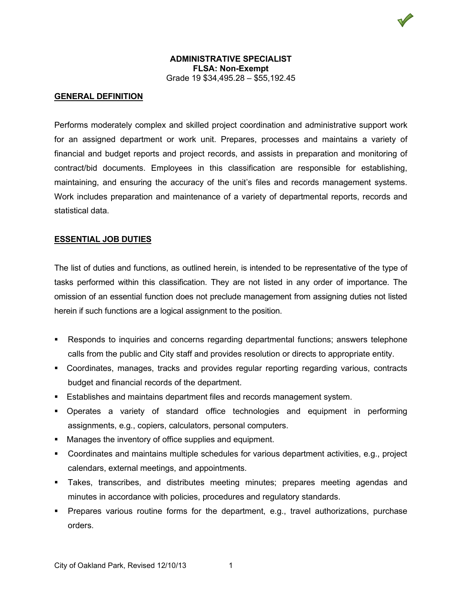

## **ADMINISTRATIVE SPECIALIST FLSA: Non-Exempt** Grade 19 \$34,495.28 – \$55,192.45

## **GENERAL DEFINITION**

Performs moderately complex and skilled project coordination and administrative support work for an assigned department or work unit. Prepares, processes and maintains a variety of financial and budget reports and project records, and assists in preparation and monitoring of contract/bid documents. Employees in this classification are responsible for establishing, maintaining, and ensuring the accuracy of the unit's files and records management systems. Work includes preparation and maintenance of a variety of departmental reports, records and statistical data.

## **ESSENTIAL JOB DUTIES**

The list of duties and functions, as outlined herein, is intended to be representative of the type of tasks performed within this classification. They are not listed in any order of importance. The omission of an essential function does not preclude management from assigning duties not listed herein if such functions are a logical assignment to the position.

- Responds to inquiries and concerns regarding departmental functions; answers telephone calls from the public and City staff and provides resolution or directs to appropriate entity.
- Coordinates, manages, tracks and provides regular reporting regarding various, contracts budget and financial records of the department.
- Establishes and maintains department files and records management system.
- Operates a variety of standard office technologies and equipment in performing assignments, e.g., copiers, calculators, personal computers.
- Manages the inventory of office supplies and equipment.
- Coordinates and maintains multiple schedules for various department activities, e.g., project calendars, external meetings, and appointments.
- Takes, transcribes, and distributes meeting minutes; prepares meeting agendas and minutes in accordance with policies, procedures and regulatory standards.
- Prepares various routine forms for the department, e.g., travel authorizations, purchase orders.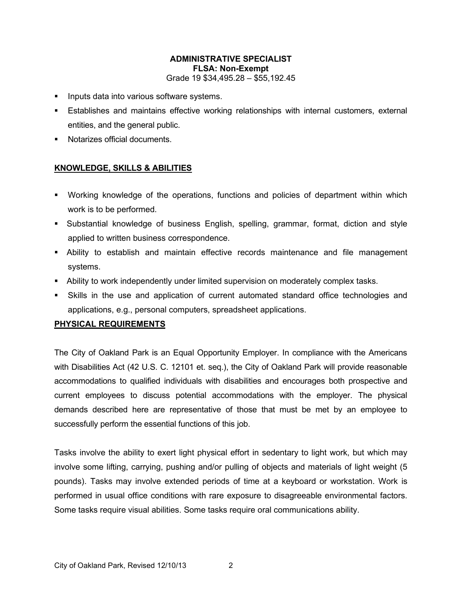## **ADMINISTRATIVE SPECIALIST FLSA: Non-Exempt** Grade 19 \$34,495.28 – \$55,192.45

- **Inputs data into various software systems.**
- Establishes and maintains effective working relationships with internal customers, external entities, and the general public.
- **Notarizes official documents.**

# **KNOWLEDGE, SKILLS & ABILITIES**

- Working knowledge of the operations, functions and policies of department within which work is to be performed.
- Substantial knowledge of business English, spelling, grammar, format, diction and style applied to written business correspondence.
- Ability to establish and maintain effective records maintenance and file management systems.
- Ability to work independently under limited supervision on moderately complex tasks.
- Skills in the use and application of current automated standard office technologies and applications, e.g., personal computers, spreadsheet applications.

#### **PHYSICAL REQUIREMENTS**

The City of Oakland Park is an Equal Opportunity Employer. In compliance with the Americans with Disabilities Act (42 U.S. C. 12101 et. seq.), the City of Oakland Park will provide reasonable accommodations to qualified individuals with disabilities and encourages both prospective and current employees to discuss potential accommodations with the employer. The physical demands described here are representative of those that must be met by an employee to successfully perform the essential functions of this job.

Tasks involve the ability to exert light physical effort in sedentary to light work, but which may involve some lifting, carrying, pushing and/or pulling of objects and materials of light weight (5 pounds). Tasks may involve extended periods of time at a keyboard or workstation. Work is performed in usual office conditions with rare exposure to disagreeable environmental factors. Some tasks require visual abilities. Some tasks require oral communications ability.